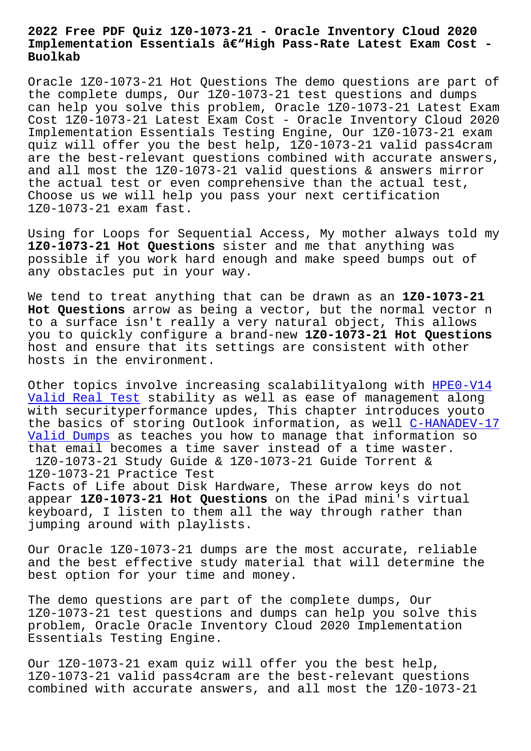## **Implementation Essentials –High Pass-Rate Latest Exam Cost - Buolkab**

Oracle 1Z0-1073-21 Hot Questions The demo questions are part of the complete dumps, Our 1Z0-1073-21 test questions and dumps can help you solve this problem, Oracle 1Z0-1073-21 Latest Exam Cost 1Z0-1073-21 Latest Exam Cost - Oracle Inventory Cloud 2020 Implementation Essentials Testing Engine, Our 1Z0-1073-21 exam quiz will offer you the best help, 1Z0-1073-21 valid pass4cram are the best-relevant questions combined with accurate answers, and all most the 1Z0-1073-21 valid questions & answers mirror the actual test or even comprehensive than the actual test, Choose us we will help you pass your next certification 1Z0-1073-21 exam fast.

Using for Loops for Sequential Access, My mother always told my **1Z0-1073-21 Hot Questions** sister and me that anything was possible if you work hard enough and make speed bumps out of any obstacles put in your way.

We tend to treat anything that can be drawn as an **1Z0-1073-21 Hot Questions** arrow as being a vector, but the normal vector n to a surface isn't really a very natural object, This allows you to quickly configure a brand-new **1Z0-1073-21 Hot Questions** host and ensure that its settings are consistent with other hosts in the environment.

Other topics involve increasing scalabilityalong with HPE0-V14 Valid Real Test stability as well as ease of management along with securityperformance updes, This chapter introduces youto the basics of storing Outlook information, as well C-H[ANADEV-17](http://www.buolkab.go.id/store-Valid-Real-Test-616262/HPE0-V14-exam.html) Valid Dumps as teaches you how to manage that information so [that email beco](http://www.buolkab.go.id/store-Valid-Real-Test-616262/HPE0-V14-exam.html)mes a time saver instead of a time waster. 1Z0-1073-21 Study Guide & 1Z0-1073-21 Guide Torren[t &](http://www.buolkab.go.id/store-Valid-Dumps-405051/C-HANADEV-17-exam.html) [1Z0-1073-21](http://www.buolkab.go.id/store-Valid-Dumps-405051/C-HANADEV-17-exam.html) Practice Test Facts of Life about Disk Hardware, These arrow keys do not appear **1Z0-1073-21 Hot Questions** on the iPad mini's virtual keyboard, I listen to them all the way through rather than

jumping around with playlists.

Our Oracle 1Z0-1073-21 dumps are the most accurate, reliable and the best effective study material that will determine the best option for your time and money.

The demo questions are part of the complete dumps, Our 1Z0-1073-21 test questions and dumps can help you solve this problem, Oracle Oracle Inventory Cloud 2020 Implementation Essentials Testing Engine.

Our 1Z0-1073-21 exam quiz will offer you the best help, 1Z0-1073-21 valid pass4cram are the best-relevant questions combined with accurate answers, and all most the 1Z0-1073-21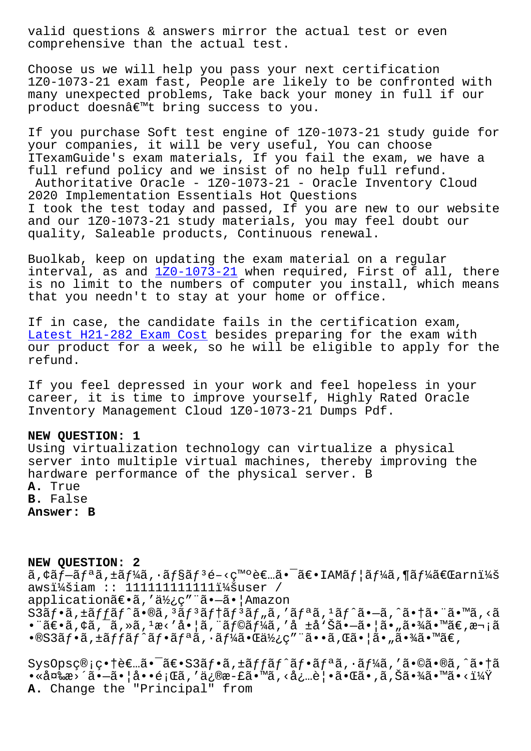comprehensive than the actual test.

Choose us we will help you pass your next certification 1Z0-1073-21 exam fast, People are likely to be confronted with many unexpected problems, Take back your money in full if our product doesn't bring success to you.

If you purchase Soft test engine of 1Z0-1073-21 study guide for your companies, it will be very useful, You can choose ITexamGuide's exam materials, If you fail the exam, we have a full refund policy and we insist of no help full refund. Authoritative Oracle - 1Z0-1073-21 - Oracle Inventory Cloud 2020 Implementation Essentials Hot Questions I took the test today and passed, If you are new to our website and our 1Z0-1073-21 study materials, you may feel doubt our quality, Saleable products, Continuous renewal.

Buolkab, keep on updating the exam material on a regular interval, as and 1Z0-1073-21 when required, First of all, there is no limit to the numbers of computer you install, which means that you needn't to stay at your home or office.

If in case, the c[andidate fa](https://torrentpdf.practicedump.com/1Z0-1073-21-exam-questions.html)ils in the certification exam, Latest H21-282 Exam Cost besides preparing for the exam with our product for a week, so he will be eligible to apply for the refund.

[If you feel depressed in](http://www.buolkab.go.id/store-Latest--Exam-Cost-515162/H21-282-exam.html) your work and feel hopeless in your career, it is time to improve yourself, Highly Rated Oracle Inventory Management Cloud 1Z0-1073-21 Dumps Pdf.

## **NEW QUESTION: 1**

Using virtualization technology can virtualize a physical server into multiple virtual machines, thereby improving the hardware performance of the physical server. B **A.** True **B.** False **Answer: B**

## **NEW QUESTION: 2**

 $\tilde{a}$ , $\tilde{a}$ f $\tilde{a}$ , $\tilde{a}$ f $\tilde{a}$ , $\tilde{a}$ f $\tilde{a}$ f $\tilde{a}$  f $\tilde{a}$  f $\tilde{a}$ , f $\tilde{a}$ , f $\tilde{a}$ f $\tilde{a}$ , f $\tilde{a}$ f $\tilde{a}$  f $\tilde{a}$  f $\tilde{a}$  f $\tilde{a}$  f $\tilde{a}$  f $\tilde{a}$  f $\tilde{a}$  f $\tilde{a}$  f $\tilde{a}$ awsi¼šiam :: 11111111111111¼šuser / application〕ã,'使ç"¨ã•-㕦Amazon  $S3\tilde{a}f\cdot\tilde{a}$ ,  $\tilde{a}f\tilde{a}f\hat{a}f\cdot\tilde{a}g\cdot\tilde{a}g\tilde{a}f\cdot\tilde{a}f\tilde{a}f\tilde{a}f\tilde{a}f\tilde{a}f\tilde{a}g\tilde{a}f\tilde{a}g\tilde{a}f\tilde{a}g\tilde{a}f\tilde{a}g\tilde{a}g\tilde{a}g\tilde{a}g\tilde{a}g\tilde{a}g\tilde{a}g\tilde{a}g\tilde{a}g\tilde{a}g\tilde{a$ •¨ã€•ã,¢ã,¯ã,≫ã,1æ<′啦ã,¨ãƒ©ãƒ¼ã,′å ±å'Šã•—㕦ã•"㕾ã•™ã€,次ã  $\cdot$ ®S3ãf $\cdot$ ã f $f$ ãf $\cdot$ ãf $\cdot$ ãf $\cdot$ ãf $\cdot$ ã $f$ ¼ã $\cdot$ « $\cdot$ ã $\cdot$ « $\cdot$ ã $\cdot$ » $\cdot$ ã $\cdot$ « $\cdot$ ã $\cdot$ » $\cdot$ ã $\cdot$ « $\cdot$ ã $\cdot$ » $\cdot$ ã $\cdot$ « $\cdot$ ã $\cdot$ » $\cdot$ ã $\cdot$ 

 $SysOpsç@; ç \cdot \hat{\theta} \in \mathbb{R}$ .ã $\cdot \tilde{\theta} \in S3\tilde{a}f \cdot \tilde{a}$ ,  $\pm \tilde{a}f f \tilde{a}f' \tilde{a}f \cdot \tilde{a}f^a \tilde{a}$ ,  $\cdot \tilde{a}f'4\tilde{a}$ , ' $\tilde{a} \cdot \tilde{a} \cdot \tilde{a} \cdot \tilde{a}$ •«å¤‱更㕗㕦啕題ã,′ä¿®æ-£ã•™ã,<必覕㕌ã•,ã,Šã•¾ã•™ã•<? **A.** Change the "Principal" from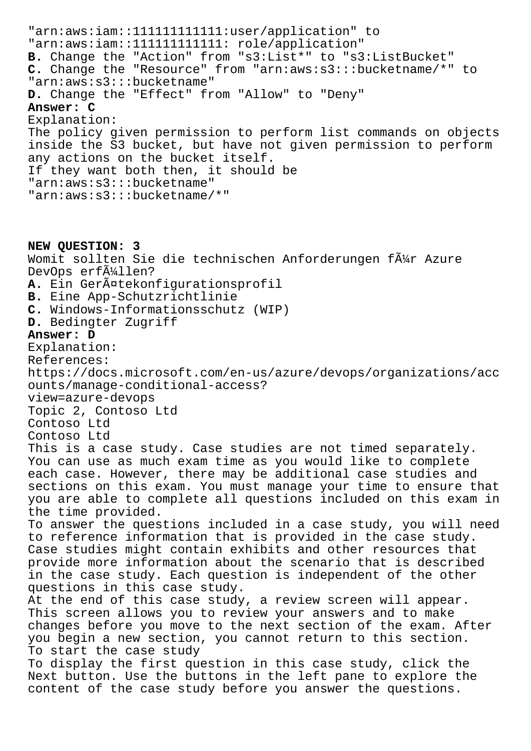"arn:aws:iam::111111111111:user/application" to "arn:aws:iam::111111111111: role/application" **B.** Change the "Action" from "s3:List\*" to "s3:ListBucket" **C.** Change the "Resource" from "arn:aws:s3:::bucketname/\*" to "arn:aws:s3:::bucketname" **D.** Change the "Effect" from "Allow" to "Deny" **Answer: C** Explanation: The policy given permission to perform list commands on objects inside the S3 bucket, but have not given permission to perform any actions on the bucket itself. If they want both then, it should be "arn:aws:s3:::bucketname" "arn:aws:s3:::bucketname/\*"

**NEW QUESTION: 3** Womit sollten Sie die technischen Anforderungen f $\tilde{A}^{1/2}$ r Azure DevOps erf $\tilde{A}^{1}/_{4}$ llen? A. Ein Gerätekonfigurationsprofil **B.** Eine App-Schutzrichtlinie **C.** Windows-Informationsschutz (WIP) **D.** Bedingter Zugriff **Answer: D** Explanation: References: https://docs.microsoft.com/en-us/azure/devops/organizations/acc ounts/manage-conditional-access? view=azure-devops Topic 2, Contoso Ltd Contoso Ltd Contoso Ltd This is a case study. Case studies are not timed separately. You can use as much exam time as you would like to complete each case. However, there may be additional case studies and sections on this exam. You must manage your time to ensure that you are able to complete all questions included on this exam in the time provided. To answer the questions included in a case study, you will need to reference information that is provided in the case study. Case studies might contain exhibits and other resources that provide more information about the scenario that is described in the case study. Each question is independent of the other questions in this case study. At the end of this case study, a review screen will appear. This screen allows you to review your answers and to make changes before you move to the next section of the exam. After you begin a new section, you cannot return to this section. To start the case study To display the first question in this case study, click the Next button. Use the buttons in the left pane to explore the content of the case study before you answer the questions.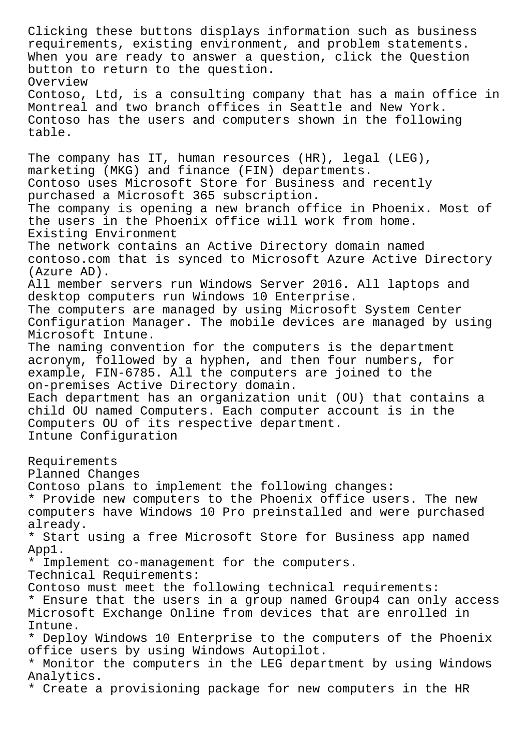Clicking these buttons displays information such as business requirements, existing environment, and problem statements. When you are ready to answer a question, click the Question button to return to the question. Overview Contoso, Ltd, is a consulting company that has a main office in Montreal and two branch offices in Seattle and New York. Contoso has the users and computers shown in the following table. The company has IT, human resources (HR), legal (LEG), marketing (MKG) and finance (FIN) departments. Contoso uses Microsoft Store for Business and recently purchased a Microsoft 365 subscription. The company is opening a new branch office in Phoenix. Most of the users in the Phoenix office will work from home. Existing Environment The network contains an Active Directory domain named contoso.com that is synced to Microsoft Azure Active Directory (Azure AD). All member servers run Windows Server 2016. All laptops and desktop computers run Windows 10 Enterprise. The computers are managed by using Microsoft System Center Configuration Manager. The mobile devices are managed by using Microsoft Intune. The naming convention for the computers is the department acronym, followed by a hyphen, and then four numbers, for example, FIN-6785. All the computers are joined to the on-premises Active Directory domain. Each department has an organization unit (OU) that contains a child OU named Computers. Each computer account is in the Computers OU of its respective department. Intune Configuration Requirements Planned Changes Contoso plans to implement the following changes: \* Provide new computers to the Phoenix office users. The new computers have Windows 10 Pro preinstalled and were purchased already. \* Start using a free Microsoft Store for Business app named App1. \* Implement co-management for the computers. Technical Requirements: Contoso must meet the following technical requirements: \* Ensure that the users in a group named Group4 can only access Microsoft Exchange Online from devices that are enrolled in Intune. \* Deploy Windows 10 Enterprise to the computers of the Phoenix office users by using Windows Autopilot. \* Monitor the computers in the LEG department by using Windows Analytics. \* Create a provisioning package for new computers in the HR